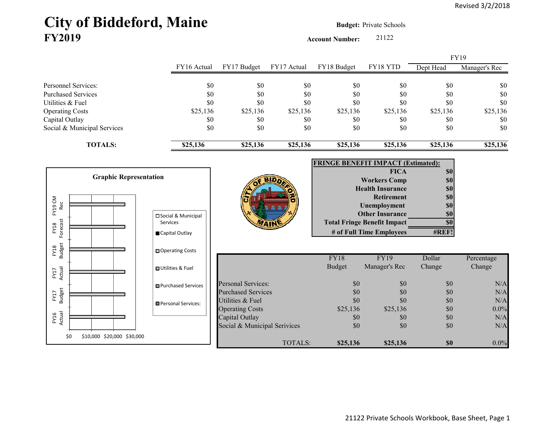## City of Biddeford, Maine **Budget: Private Schools FY2019**

**Account Number:** 21122

|                                   |                             |                                          |             |                                           |                                    | FY19       |                |
|-----------------------------------|-----------------------------|------------------------------------------|-------------|-------------------------------------------|------------------------------------|------------|----------------|
|                                   | FY16 Actual                 | FY17 Budget                              | FY17 Actual | FY18 Budget                               | FY18 YTD                           | Dept Head  | Manager's Rec  |
| Personnel Services:               | \$0                         | \$0                                      | \$0         | \$0                                       | \$0                                | \$0        | \$0            |
| <b>Purchased Services</b>         | \$0                         | \$0                                      | \$0         | \$0                                       | \$0                                | \$0        | $\$0$          |
| Utilities & Fuel                  | \$0                         | \$0                                      | \$0         | \$0                                       | \$0                                | \$0        | \$0            |
| <b>Operating Costs</b>            | \$25,136                    | \$25,136                                 | \$25,136    | \$25,136                                  | \$25,136                           | \$25,136   | \$25,136       |
| Capital Outlay                    | \$0                         | \$0                                      | \$0         | \$0                                       | \$0\$                              | \$0        | \$0            |
| Social & Municipal Services       | \$0                         | \$0                                      | \$0         | \$0                                       | \$0                                | \$0        | \$0            |
| <b>TOTALS:</b>                    | \$25,136                    | \$25,136                                 | \$25,136    | \$25,136                                  | \$25,136                           | \$25,136   | \$25,136       |
|                                   |                             |                                          |             | <b>FRINGE BENEFIT IMPACT (Estimated):</b> |                                    |            |                |
|                                   |                             |                                          |             |                                           | <b>FICA</b>                        | \$0        |                |
| <b>Graphic Representation</b>     |                             |                                          |             |                                           | <b>Workers Comp</b>                | \$0        |                |
|                                   |                             |                                          |             |                                           | <b>Health Insurance</b>            | \$0        |                |
|                                   |                             |                                          |             |                                           | <b>Retirement</b>                  | \$0        |                |
| FY19 CM<br>Rec                    |                             |                                          |             |                                           | Unemployment                       | \$0        |                |
|                                   | □ Social & Municipal        |                                          |             |                                           | <b>Other Insurance</b>             | \$0        |                |
| FY18                              | <b>Services</b>             |                                          |             |                                           | <b>Total Fringe Benefit Impact</b> | \$0        |                |
| Forecast                          | Capital Outlay              |                                          |             | # of Full Time Employees                  |                                    | #REF!      |                |
| <b>Budget</b><br>FY18             | □ Operating Costs           |                                          |             |                                           |                                    |            |                |
|                                   |                             |                                          |             | $\overline{FY18}$                         | <b>FY19</b>                        | Dollar     | Percentage     |
|                                   | <b>□</b> Utilities & Fuel   |                                          |             | <b>Budget</b>                             | Manager's Rec                      | Change     | Change         |
| Actual<br>FY17                    |                             |                                          |             |                                           |                                    |            |                |
|                                   | <b>□</b> Purchased Services | <b>Personal Services:</b>                |             | \$0                                       | \$0                                | \$0        | N/A            |
| <b>Budget</b><br>FY17             |                             | <b>Purchased Services</b>                |             | \$0                                       | \$0                                | \$0        | N/A            |
|                                   | Personal Services:          | Utilities & Fuel                         |             | \$0                                       | \$0                                | \$0<br>\$0 | N/A<br>$0.0\%$ |
|                                   |                             | <b>Operating Costs</b><br>Capital Outlay |             | \$25,136<br>\$0                           | \$25,136<br>\$0                    | \$0        | N/A            |
| FY16<br>Actual                    |                             | Social & Municipal Serivices             |             | \$0                                       | \$0                                | \$0        | N/A            |
|                                   |                             |                                          |             |                                           |                                    |            |                |
| \$10,000 \$20,000 \$30,000<br>\$0 |                             |                                          | TOTALS:     | \$25,136                                  | \$25,136                           | \$0        | 0.0%           |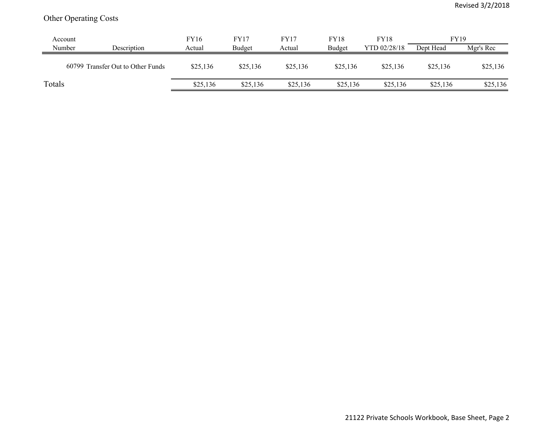## Other Operating Costs

| Account |                                   | FY16     | <b>FY17</b> | FY 17    | <b>FY18</b> | <b>FY18</b>  | <b>FY19</b> |           |
|---------|-----------------------------------|----------|-------------|----------|-------------|--------------|-------------|-----------|
| Number  | Description                       | Actual   | Budget      | Actual   | Budget      | YTD 02/28/18 | Dept Head   | Mgr's Rec |
|         | 60799 Transfer Out to Other Funds | \$25,136 | \$25,136    | \$25,136 | \$25,136    | \$25,136     | \$25,136    | \$25,136  |
| Totals  |                                   | \$25,136 | \$25,136    | \$25,136 | \$25,136    | \$25,136     | \$25,136    | \$25,136  |